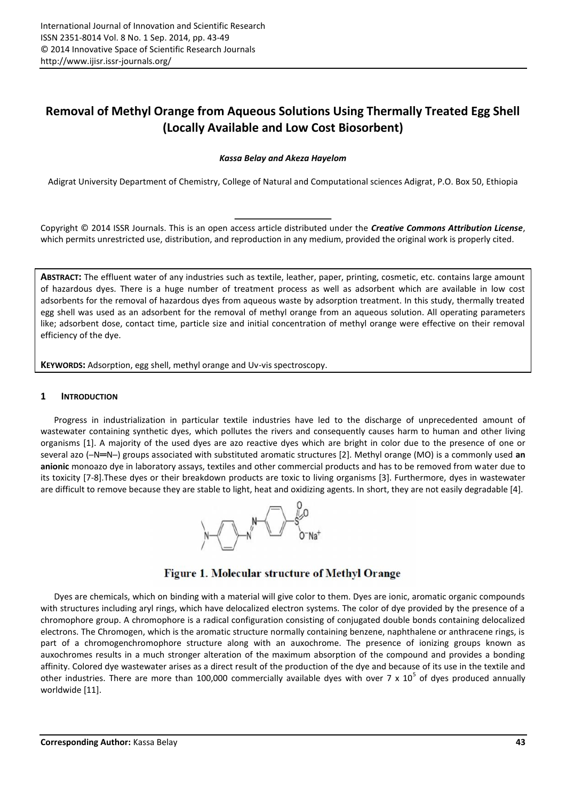# **Removal of Methyl Orange from Aqueous Solutions Using Thermally Treated Egg Shell (Locally Available and Low Cost Biosorbent)**

## *Kassa Belay and Akeza Hayelom*

Adigrat University Department of Chemistry, College of Natural and Computational sciences Adigrat, P.O. Box 50, Ethiopia

Copyright © 2014 ISSR Journals. This is an open access article distributed under the *Creative Commons Attribution License*, which permits unrestricted use, distribution, and reproduction in any medium, provided the original work is properly cited.

**ABSTRACT:** The effluent water of any industries such as textile, leather, paper, printing, cosmetic, etc. contains large amount of hazardous dyes. There is a huge number of treatment process as well as adsorbent which are available in low cost adsorbents for the removal of hazardous dyes from aqueous waste by adsorption treatment. In this study, thermally treated egg shell was used as an adsorbent for the removal of methyl orange from an aqueous solution. All operating parameters like; adsorbent dose, contact time, particle size and initial concentration of methyl orange were effective on their removal efficiency of the dye.

**KEYWORDS:** Adsorption, egg shell, methyl orange and Uv-vis spectroscopy.

## **1 INTRODUCTION**

Progress in industrialization in particular textile industries have led to the discharge of unprecedented amount of wastewater containing synthetic dyes, which pollutes the rivers and consequently causes harm to human and other living organisms [1]. A majority of the used dyes are azo reactive dyes which are bright in color due to the presence of one or several azo (─N═N─) groups associated with substituted aromatic structures [2]. Methyl orange (MO) is a commonly used **an anionic** monoazo dye in laboratory assays, textiles and other commercial products and has to be removed from water due to its toxicity [7-8].These dyes or their breakdown products are toxic to living organisms [3]. Furthermore, dyes in wastewater are difficult to remove because they are stable to light, heat and oxidizing agents. In short, they are not easily degradable [4].



## Figure 1. Molecular structure of Methyl Orange

Dyes are chemicals, which on binding with a material will give color to them. Dyes are ionic, aromatic organic compounds with structures including aryl rings, which have delocalized electron systems. The color of dye provided by the presence of a chromophore group. A chromophore is a radical configuration consisting of conjugated double bonds containing delocalized electrons. The Chromogen, which is the aromatic structure normally containing benzene, naphthalene or anthracene rings, is part of a chromogenchromophore structure along with an auxochrome. The presence of ionizing groups known as auxochromes results in a much stronger alteration of the maximum absorption of the compound and provides a bonding affinity. Colored dye wastewater arises as a direct result of the production of the dye and because of its use in the textile and other industries. There are more than 100,000 commercially available dyes with over 7 x  $10^5$  of dyes produced annually worldwide [11].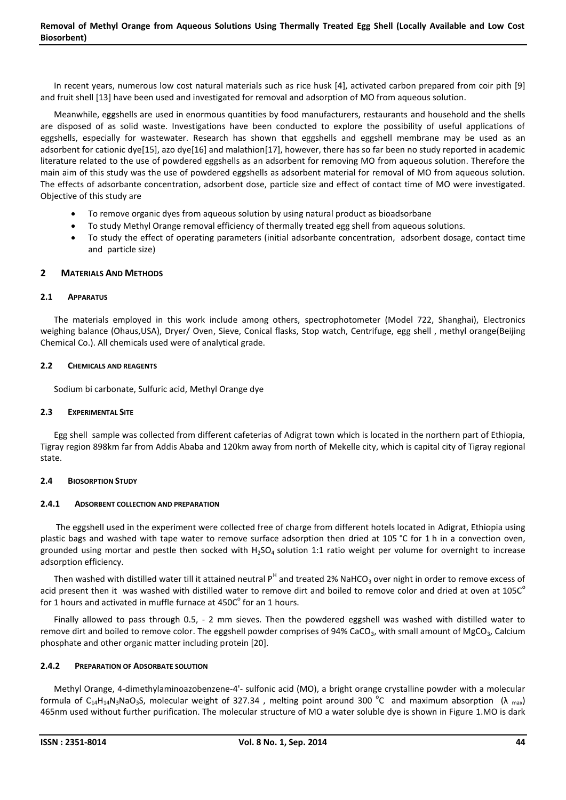In recent years, numerous low cost natural materials such as rice husk [4], activated carbon prepared from coir pith [9] and fruit shell [13] have been used and investigated for removal and adsorption of MO from aqueous solution.

Meanwhile, eggshells are used in enormous quantities by food manufacturers, restaurants and household and the shells are disposed of as solid waste. Investigations have been conducted to explore the possibility of useful applications of eggshells, especially for wastewater. Research has shown that eggshells and eggshell membrane may be used as an adsorbent for cationic dye[15], azo dye[16] and malathion[17], however, there has so far been no study reported in academic literature related to the use of powdered eggshells as an adsorbent for removing MO from aqueous solution. Therefore the main aim of this study was the use of powdered eggshells as adsorbent material for removal of MO from aqueous solution. The effects of adsorbante concentration, adsorbent dose, particle size and effect of contact time of MO were investigated. Objective of this study are

- To remove organic dyes from aqueous solution by using natural product as bioadsorbane
- To study Methyl Orange removal efficiency of thermally treated egg shell from aqueous solutions.
- To study the effect of operating parameters (initial adsorbante concentration, adsorbent dosage, contact time and particle size)

## **2 MATERIALS AND METHODS**

## **2.1 APPARATUS**

The materials employed in this work include among others, spectrophotometer (Model 722, Shanghai), Electronics weighing balance (Ohaus,USA), Dryer/ Oven, Sieve, Conical flasks, Stop watch, Centrifuge, egg shell , methyl orange(Beijing Chemical Co.). All chemicals used were of analytical grade.

## **2.2 CHEMICALS AND REAGENTS**

Sodium bi carbonate, Sulfuric acid, Methyl Orange dye

## **2.3 EXPERIMENTAL SITE**

Egg shell sample was collected from different cafeterias of Adigrat town which is located in the northern part of Ethiopia, Tigray region 898km far from Addis Ababa and 120km away from north of Mekelle city, which is capital city of Tigray regional state.

## **2.4 BIOSORPTION STUDY**

## **2.4.1 ADSORBENT COLLECTION AND PREPARATION**

The eggshell used in the experiment were collected free of charge from different hotels located in Adigrat, Ethiopia using plastic bags and washed with tape water to remove surface adsorption then dried at 105 °C for 1 h in a convection oven, grounded using mortar and pestle then socked with  $H_2SO_4$  solution 1:1 ratio weight per volume for overnight to increase adsorption efficiency.

Then washed with distilled water till it attained neutral  $P^H$  and treated 2% NaHCO<sub>3</sub> over night in order to remove excess of acid present then it was washed with distilled water to remove dirt and boiled to remove color and dried at oven at  $105C<sup>o</sup>$ for 1 hours and activated in muffle furnace at 450C $^{\circ}$  for an 1 hours.

Finally allowed to pass through 0.5, - 2 mm sieves. Then the powdered eggshell was washed with distilled water to remove dirt and boiled to remove color. The eggshell powder comprises of 94% CaCO<sub>3</sub>, with small amount of MgCO<sub>3</sub>, Calcium phosphate and other organic matter including protein [20].

## **2.4.2 PREPARATION OF ADSORBATE SOLUTION**

Methyl Orange, 4-dimethylaminoazobenzene-4'- sulfonic acid (MO), a bright orange crystalline powder with a molecular formula of C<sub>14</sub>H<sub>14</sub>N<sub>3</sub>NaO<sub>3</sub>S, molecular weight of 327.34, melting point around 300 °C and maximum absorption ( $\lambda$ <sub>max</sub>) 465nm used without further purification. The molecular structure of MO a water soluble dye is shown in Figure 1.MO is dark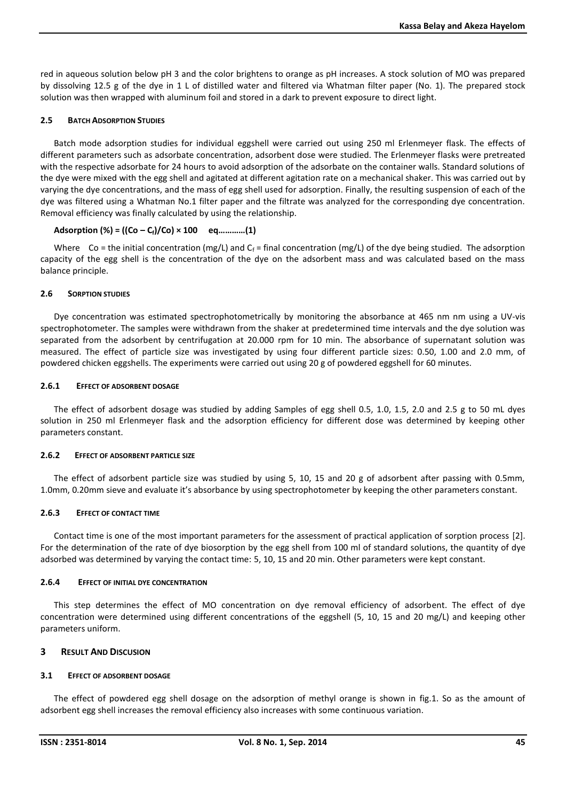red in aqueous solution below pH 3 and the color brightens to orange as pH increases. A stock solution of MO was prepared by dissolving 12.5 g of the dye in 1 L of distilled water and filtered via Whatman filter paper (No. 1). The prepared stock solution was then wrapped with aluminum foil and stored in a dark to prevent exposure to direct light.

#### **2.5 BATCH ADSORPTION STUDIES**

Batch mode adsorption studies for individual eggshell were carried out using 250 ml Erlenmeyer flask. The effects of different parameters such as adsorbate concentration, adsorbent dose were studied. The Erlenmeyer flasks were pretreated with the respective adsorbate for 24 hours to avoid adsorption of the adsorbate on the container walls. Standard solutions of the dye were mixed with the egg shell and agitated at different agitation rate on a mechanical shaker. This was carried out by varying the dye concentrations, and the mass of egg shell used for adsorption. Finally, the resulting suspension of each of the dye was filtered using a Whatman No.1 filter paper and the filtrate was analyzed for the corresponding dye concentration. Removal efficiency was finally calculated by using the relationship.

## **Adsorption (%) = ((Co – Cf)/Co) × 100 eq…………(1)**

Where Co = the initial concentration (mg/L) and C<sub>f</sub> = final concentration (mg/L) of the dye being studied. The adsorption capacity of the egg shell is the concentration of the dye on the adsorbent mass and was calculated based on the mass balance principle.

#### **2.6 SORPTION STUDIES**

Dye concentration was estimated spectrophotometrically by monitoring the absorbance at 465 nm nm using a UV-vis spectrophotometer. The samples were withdrawn from the shaker at predetermined time intervals and the dye solution was separated from the adsorbent by centrifugation at 20.000 rpm for 10 min. The absorbance of supernatant solution was measured. The effect of particle size was investigated by using four different particle sizes: 0.50, 1.00 and 2.0 mm, of powdered chicken eggshells. The experiments were carried out using 20 g of powdered eggshell for 60 minutes.

#### **2.6.1 EFFECT OF ADSORBENT DOSAGE**

The effect of adsorbent dosage was studied by adding Samples of egg shell 0.5, 1.0, 1.5, 2.0 and 2.5 g to 50 mL dyes solution in 250 ml Erlenmeyer flask and the adsorption efficiency for different dose was determined by keeping other parameters constant.

## **2.6.2 EFFECT OF ADSORBENT PARTICLE SIZE**

The effect of adsorbent particle size was studied by using 5, 10, 15 and 20 g of adsorbent after passing with 0.5mm, 1.0mm, 0.20mm sieve and evaluate it's absorbance by using spectrophotometer by keeping the other parameters constant.

## **2.6.3 EFFECT OF CONTACT TIME**

Contact time is one of the most important parameters for the assessment of practical application of sorption process [2]. For the determination of the rate of dye biosorption by the egg shell from 100 ml of standard solutions, the quantity of dye adsorbed was determined by varying the contact time: 5, 10, 15 and 20 min. Other parameters were kept constant.

## **2.6.4 EFFECT OF INITIAL DYE CONCENTRATION**

This step determines the effect of MO concentration on dye removal efficiency of adsorbent. The effect of dye concentration were determined using different concentrations of the eggshell (5, 10, 15 and 20 mg/L) and keeping other parameters uniform.

## **3 RESULT AND DISCUSION**

## **3.1 EFFECT OF ADSORBENT DOSAGE**

The effect of powdered egg shell dosage on the adsorption of methyl orange is shown in fig.1. So as the amount of adsorbent egg shell increases the removal efficiency also increases with some continuous variation.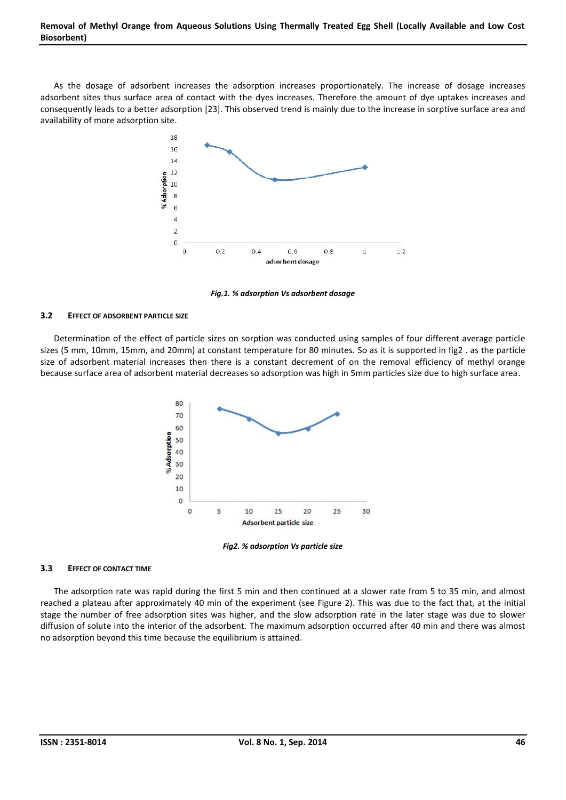As the dosage of adsorbent increases the adsorption increases proportionately. The increase of dosage increases adsorbent sites thus surface area of contact with the dyes increases. Therefore the amount of dye uptakes increases and consequently leads to a better adsorption [23]. This observed trend is mainly due to the increase in sorptive surface area and availability of more adsorption site.



*Fig.1. % adsorption Vs adsorbent dosage*

## **3.2 EFFECT OF ADSORBENT PARTICLE SIZE**

Determination of the effect of particle sizes on sorption was conducted using samples of four different average particle sizes (5 mm, 10mm, 15mm, and 20mm) at constant temperature for 80 minutes. So as it is supported in fig2 . as the particle size of adsorbent material increases then there is a constant decrement of on the removal efficiency of methyl orange because surface area of adsorbent material decreases so adsorption was high in 5mm particles size due to high surface area.



*Fig2. % adsorption Vs particle size*

## **3.3 EFFECT OF CONTACT TIME**

The adsorption rate was rapid during the first 5 min and then continued at a slower rate from 5 to 35 min, and almost reached a plateau after approximately 40 min of the experiment (see Figure 2). This was due to the fact that, at the initial stage the number of free adsorption sites was higher, and the slow adsorption rate in the later stage was due to slower diffusion of solute into the interior of the adsorbent. The maximum adsorption occurred after 40 min and there was almost no adsorption beyond this time because the equilibrium is attained.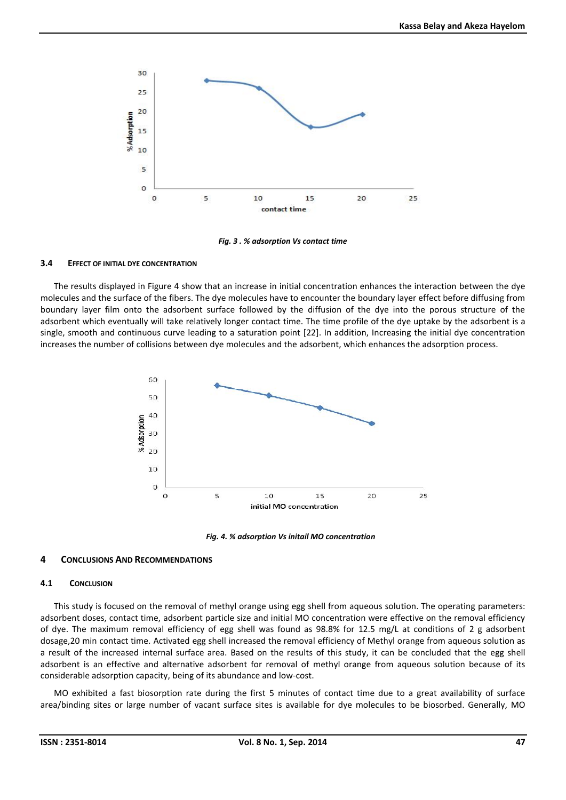

*Fig. 3 . % adsorption Vs contact time*

## **3.4 EFFECT OF INITIAL DYE CONCENTRATION**

The results displayed in Figure 4 show that an increase in initial concentration enhances the interaction between the dye molecules and the surface of the fibers. The dye molecules have to encounter the boundary layer effect before diffusing from boundary layer film onto the adsorbent surface followed by the diffusion of the dye into the porous structure of the adsorbent which eventually will take relatively longer contact time. The time profile of the dye uptake by the adsorbent is a single, smooth and continuous curve leading to a saturation point [22]. In addition, Increasing the initial dye concentration increases the number of collisions between dye molecules and the adsorbent, which enhances the adsorption process.



*Fig. 4. % adsorption Vs initail MO concentration*

## **4 CONCLUSIONS AND RECOMMENDATIONS**

#### **4.1 CONCLUSION**

This study is focused on the removal of methyl orange using egg shell from aqueous solution. The operating parameters: adsorbent doses, contact time, adsorbent particle size and initial MO concentration were effective on the removal efficiency of dye. The maximum removal efficiency of egg shell was found as 98.8% for 12.5 mg/L at conditions of 2 g adsorbent dosage,20 min contact time. Activated egg shell increased the removal efficiency of Methyl orange from aqueous solution as a result of the increased internal surface area. Based on the results of this study, it can be concluded that the egg shell adsorbent is an effective and alternative adsorbent for removal of methyl orange from aqueous solution because of its considerable adsorption capacity, being of its abundance and low-cost.

MO exhibited a fast biosorption rate during the first 5 minutes of contact time due to a great availability of surface area/binding sites or large number of vacant surface sites is available for dye molecules to be biosorbed. Generally, MO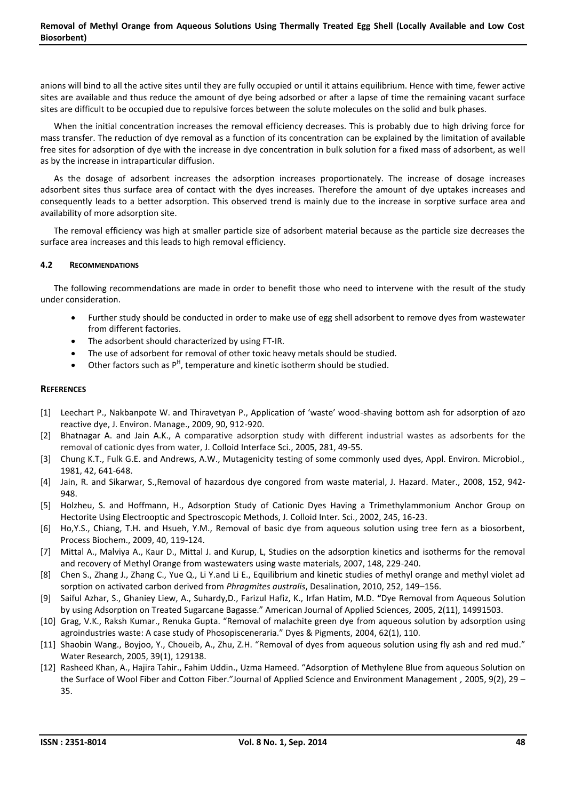anions will bind to all the active sites until they are fully occupied or until it attains equilibrium. Hence with time, fewer active sites are available and thus reduce the amount of dye being adsorbed or after a lapse of time the remaining vacant surface sites are difficult to be occupied due to repulsive forces between the solute molecules on the solid and bulk phases.

When the initial concentration increases the removal efficiency decreases. This is probably due to high driving force for mass transfer. The reduction of dye removal as a function of its concentration can be explained by the limitation of available free sites for adsorption of dye with the increase in dye concentration in bulk solution for a fixed mass of adsorbent, as well as by the increase in intraparticular diffusion.

As the dosage of adsorbent increases the adsorption increases proportionately. The increase of dosage increases adsorbent sites thus surface area of contact with the dyes increases. Therefore the amount of dye uptakes increases and consequently leads to a better adsorption. This observed trend is mainly due to the increase in sorptive surface area and availability of more adsorption site.

The removal efficiency was high at smaller particle size of adsorbent material because as the particle size decreases the surface area increases and this leads to high removal efficiency.

## **4.2 RECOMMENDATIONS**

The following recommendations are made in order to benefit those who need to intervene with the result of the study under consideration.

- Further study should be conducted in order to make use of egg shell adsorbent to remove dyes from wastewater from different factories.
- The adsorbent should characterized by using FT-IR.
- The use of adsorbent for removal of other toxic heavy metals should be studied.
- $\bullet$  Other factors such as  $P^H$ , temperature and kinetic isotherm should be studied.

## **REFERENCES**

- [1] Leechart P., Nakbanpote W. and Thiravetyan P., Application of 'waste' wood-shaving bottom ash for adsorption of azo reactive dye, J. Environ. Manage., 2009, 90, 912-920.
- [2] Bhatnagar A. and Jain A.K., A comparative adsorption study with different industrial wastes as adsorbents for the removal of cationic dyes from water, J. Colloid Interface Sci., 2005, 281, 49-55.
- [3] Chung K.T., Fulk G.E. and Andrews, A.W., Mutagenicity testing of some commonly used dyes, Appl. Environ. Microbiol., 1981, 42, 641-648.
- [4] Jain, R. and Sikarwar, S.,Removal of hazardous dye congored from waste material, J. Hazard. Mater., 2008, 152, 942- 948.
- [5] Holzheu, S. and Hoffmann, H., Adsorption Study of Cationic Dyes Having a Trimethylammonium Anchor Group on Hectorite Using Electrooptic and Spectroscopic Methods, J. Colloid Inter. Sci., 2002, 245, 16-23.
- [6] Ho,Y.S., Chiang, T.H. and Hsueh, Y.M., Removal of basic dye from aqueous solution using tree fern as a biosorbent, Process Biochem., 2009, 40, 119-124.
- [7] Mittal A., Malviya A., Kaur D., Mittal J. and Kurup, L, Studies on the adsorption kinetics and isotherms for the removal and recovery of Methyl Orange from wastewaters using waste materials, 2007, 148, 229-240.
- [8] Chen S., Zhang J., Zhang C., Yue Q., Li Y.and Li E., Equilibrium and kinetic studies of methyl orange and methyl violet ad sorption on activated carbon derived from *Phragmites australis*, Desalination, 2010, 252, 149–156.
- [9] Saiful Azhar, S., Ghaniey Liew, A., Suhardy,D., Farizul Hafiz, K., Irfan Hatim, M.D. **"**Dye Removal from Aqueous Solution by using Adsorption on Treated Sugarcane Bagasse." American Journal of Applied Sciences*,* 2005, 2(11), 14991503.
- [10] Grag, V.K., Raksh Kumar., Renuka Gupta. "Removal of malachite green dye from aqueous solution by adsorption using agroindustries waste: A case study of Phosopisceneraria." Dyes & Pigments, 2004, 62(1), 110.
- [11] Shaobin Wang., Boyjoo, Y., Choueib, A., Zhu, Z.H. "Removal of dyes from aqueous solution using fly ash and red mud." Water Research, 2005, 39(1), 129138.
- [12] Rasheed Khan, A., Hajira Tahir., Fahim Uddin., Uzma Hameed. "Adsorption of Methylene Blue from aqueous Solution on the Surface of Wool Fiber and Cotton Fiber."Journal of Applied Science and Environment Management *,* 2005, 9(2), 29 – 35.